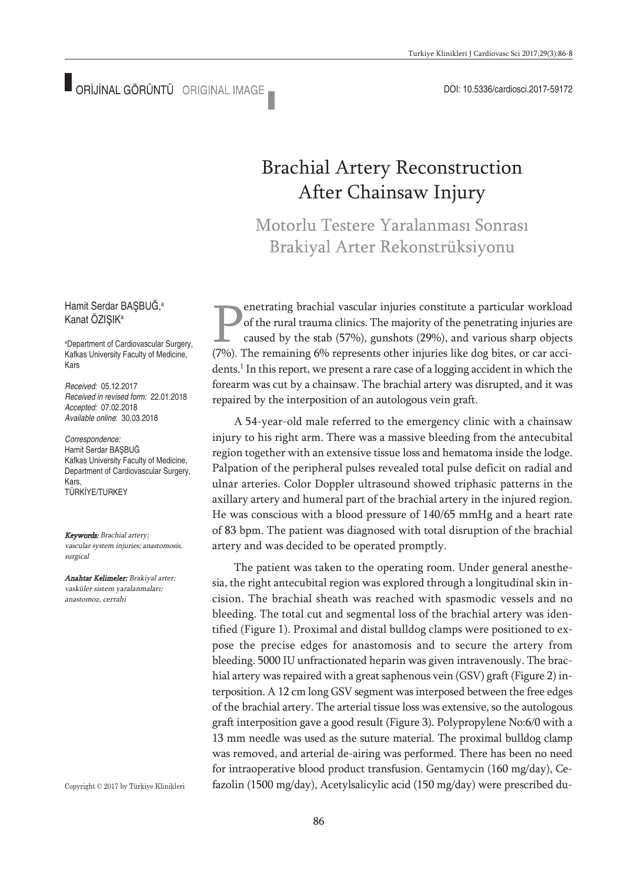# Brachial Artery Reconstruction After Chainsaw Injury

Motorlu Testere Yaralanması Sonrası Brakiyal Arter Rekonstrüksiyonu

enetrating brachial vascular injuries constitute a particular workload of the rural trauma clinics. The majority of the penetrating injuries are caused by the stab (57%), gunshots (29%), and various sharp objects (7%). The remaining 6% represents other injuries like dog bites, or car accidents. <sup>1</sup> In thisreport, we present a rare case of a logging accident in which the forearm was cut by a chainsaw. The brachial artery was disrupted, and it was repaired by the interposition of an autologous vein graft.

A 54-year-old male referred to the emergency clinic with a chainsaw injury to his right arm. There was a massive bleeding from the antecubital region together with an extensive tissue loss and hematoma inside the lodge. Palpation of the peripheral pulses revealed total pulse deficit on radial and ulnar arteries. Color Doppler ultrasound showed triphasic patterns in the axillary artery and humeral part of the brachial artery in the injured region. He was conscious with a blood pressure of 140/65 mmHg and a heart rate of 83 bpm. The patient was diagnosed with total disruption of the brachial artery and was decided to be operated promptly.

The patient was taken to the operating room. Under general anesthesia, the right antecubital region was explored through a longitudinal skin incision. The brachial sheath was reached with spasmodic vessels and no bleeding. The total cut and segmental loss of the brachial artery was identified (Figure 1). Proximal and distal bulldog clamps were positioned to expose the precise edges for anastomosis and to secure the artery from bleeding. 5000 IU unfractionated heparin was given intravenously. The brachial artery was repaired with a great saphenous vein (GSV) graft (Figure 2) interposition. A 12 cm long GSV segment was interposed between the free edges of the brachial artery. The arterial tissue loss was extensive, so the autologous graft interposition gave a good result (Figure 3). Polypropylene No:6/0 with a 13 mm needle was used as the suture material. The proximal bulldog clamp was removed, and arterial de-airing was performed. There has been no need for intraoperative blood product transfusion. Gentamycin (160 mg/day), Cefazolin (1500 mg/day), Acetylsalicylic acid (150 mg/day) were prescribed du-

Hamit Serdar BAŞBUĞ, a Kanat ÖZIŞIK<sup>a</sup>

a Department of Cardiovascular Surgery, Kafkas University Faculty of Medicine, Kars

*Received:* 05.12.2017 *Received in revised form:* 22.01.2018 *Accepted:* 07.02.2018 *Available online*: 30.03.2018

*Correspondence:* Hamit Serdar BAŞBUĞ Kafkas University Faculty of Medicine, Department of Cardiovascular Surgery, Kars, TÜRKİYE/TURKEY

Keywords: Brachial artery; vascular system injuries; anastomosis, surgical

Anahtar Kelimeler: Brakiyal arter; vasküler sistem yaralanmaları; anastomoz, cerrahi

Copyright © 2017 by Türkiye Klinikleri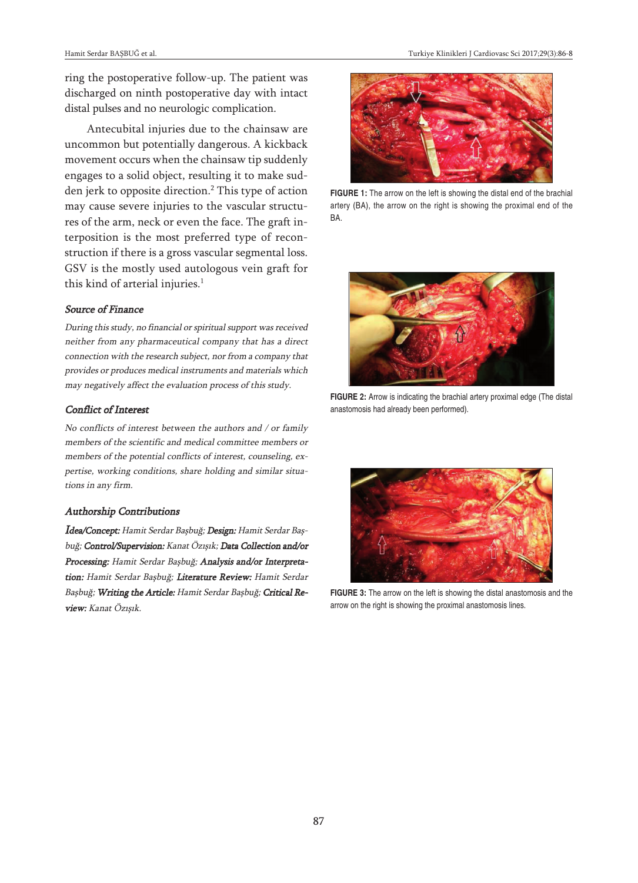ring the postoperative follow-up. The patient was discharged on ninth postoperative day with intact distal pulses and no neurologic complication.

Antecubital injuries due to the chainsaw are uncommon but potentially dangerous. A kickback movement occurs when the chainsaw tip suddenly engages to a solid object, resulting it to make sudden jerk to opposite direction. <sup>2</sup> This type of action may cause severe injuries to the vascular structures of the arm, neck or even the face. The graft interposition is the most preferred type of reconstruction if there is a gross vascular segmental loss. GSV is the mostly used autologous vein graft for this kind of arterial injuries. 1

#### Source of Finance

During this study, no financial or spiritual support was received neither from any pharmaceutical company that has <sup>a</sup> direct connection with the research subject, nor from <sup>a</sup> company that provides or produces medical instruments and materials which may negatively affect the evaluation process of this study.

## Conflict of Interest

No conflicts of interest between the authors and / or family members of the scientific and medical committee members or members of the potential conflicts of interest, counseling, expertise, working conditions, share holding and similar situations in any firm.

### Authorship Contributions

Idea/Concept: Hamit Serdar Başbuğ; Design: Hamit Serdar Başbuğ; Control/Supervision: Kanat Özışık; Data Collection and/or Processing: Hamit Serdar Başbuğ; Analysis and/or Interpretation: Hamit Serdar Başbuğ; Literature Review: Hamit Serdar Başbuğ; Writing the Article: Hamit Serdar Başbuğ; Critical Review: Kanat Özışık.



**FIGURE 1:** The arrow on the left is showing the distal end of the brachial artery (BA), the arrow on the right is showing the proximal end of the BA.



**FIGURE 2:** Arrow is indicating the brachial artery proximal edge (The distal anastomosis had already been performed).



**FIGURE 3:** The arrow on the left is showing the distal anastomosis and the arrow on the right is showing the proximal anastomosis lines.